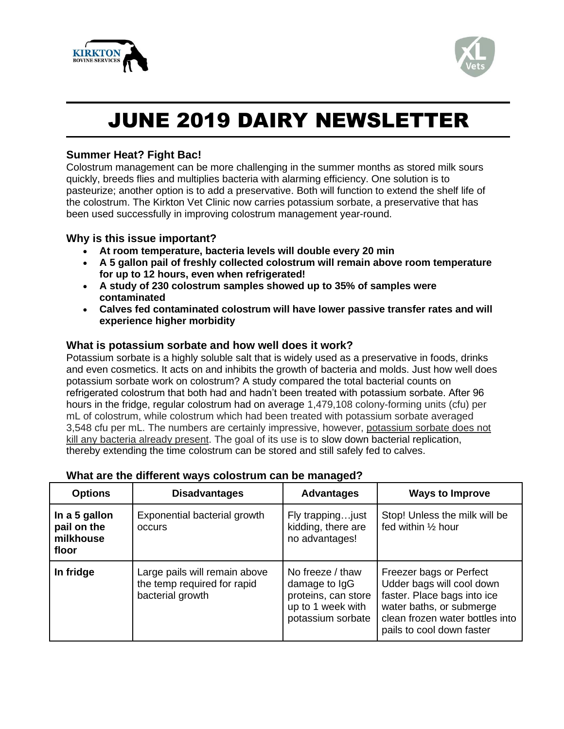



# JUNE 2019 DAIRY NEWSLETTER

## **Summer Heat? Fight Bac!**

Colostrum management can be more challenging in the summer months as stored milk sours quickly, breeds flies and multiplies bacteria with alarming efficiency. One solution is to pasteurize; another option is to add a preservative. Both will function to extend the shelf life of the colostrum. The Kirkton Vet Clinic now carries potassium sorbate, a preservative that has been used successfully in improving colostrum management year-round.

## **Why is this issue important?**

- **At room temperature, bacteria levels will double every 20 min**
- **A 5 gallon pail of freshly collected colostrum will remain above room temperature for up to 12 hours, even when refrigerated!**
- **A study of 230 colostrum samples showed up to 35% of samples were contaminated**
- **Calves fed contaminated colostrum will have lower passive transfer rates and will experience higher morbidity**

## **What is potassium sorbate and how well does it work?**

Potassium sorbate is a highly soluble salt that is widely used as a preservative in foods, drinks and even cosmetics. It acts on and inhibits the growth of bacteria and molds. Just how well does potassium sorbate work on colostrum? A study compared the total bacterial counts on refrigerated colostrum that both had and hadn't been treated with potassium sorbate. After 96 hours in the fridge, regular colostrum had on average 1,479,108 colony-forming units (cfu) per mL of colostrum, while colostrum which had been treated with potassium sorbate averaged 3,548 cfu per mL. The numbers are certainly impressive, however, potassium sorbate does not kill any bacteria already present. The goal of its use is to slow down bacterial replication, thereby extending the time colostrum can be stored and still safely fed to calves.

| <b>Options</b>                                     | <b>Disadvantages</b>                                                             | <b>Advantages</b>                                                                                  | <b>Ways to Improve</b>                                                                                                                                                          |
|----------------------------------------------------|----------------------------------------------------------------------------------|----------------------------------------------------------------------------------------------------|---------------------------------------------------------------------------------------------------------------------------------------------------------------------------------|
| In a 5 gallon<br>pail on the<br>milkhouse<br>floor | Exponential bacterial growth<br>occurs                                           | Fly trapping just<br>kidding, there are<br>no advantages!                                          | Stop! Unless the milk will be<br>fed within 1/2 hour                                                                                                                            |
| In fridge                                          | Large pails will remain above<br>the temp required for rapid<br>bacterial growth | No freeze / thaw<br>damage to IgG<br>proteins, can store<br>up to 1 week with<br>potassium sorbate | Freezer bags or Perfect<br>Udder bags will cool down<br>faster. Place bags into ice<br>water baths, or submerge<br>clean frozen water bottles into<br>pails to cool down faster |

## **What are the different ways colostrum can be managed?**